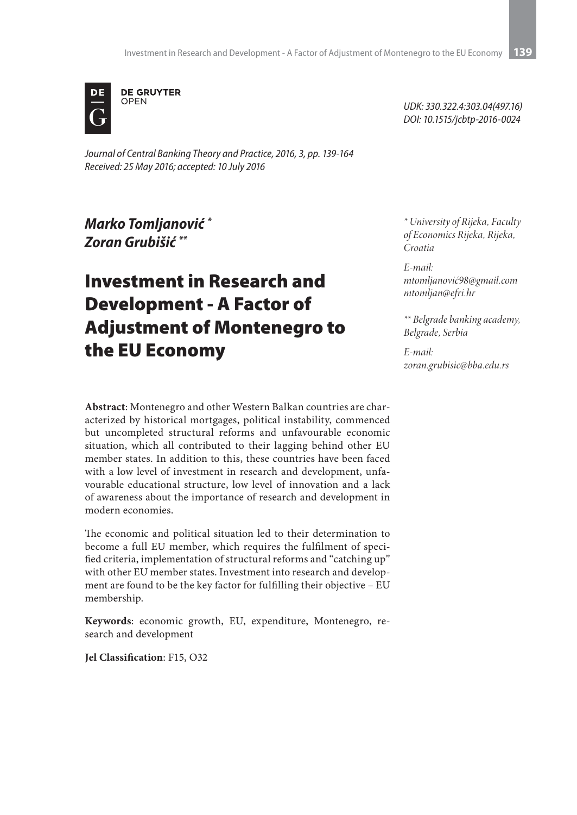

*Journal of Central Banking Theory and Practice, 2016, 3, pp. 139-164 Received: 25 May 2016; accepted: 10 July 2016*

## *Marko Tomljanović \* Zoran Grubišić \*\**

# Investment in Research and Development - A Factor of Adjustment of Montenegro to the EU Economy

**Abstract**: Montenegro and other Western Balkan countries are characterized by historical mortgages, political instability, commenced but uncompleted structural reforms and unfavourable economic situation, which all contributed to their lagging behind other EU member states. In addition to this, these countries have been faced with a low level of investment in research and development, unfavourable educational structure, low level of innovation and a lack of awareness about the importance of research and development in modern economies.

The economic and political situation led to their determination to become a full EU member, which requires the fulfilment of specified criteria, implementation of structural reforms and "catching up" with other EU member states. Investment into research and development are found to be the key factor for fulfilling their objective – EU membership.

**Keywords**: economic growth, EU, expenditure, Montenegro, research and development

**Jel Classification**: F15, O32

*UDK: 330.322.4:303.04(497.16) DOI: 10.1515/jcbtp-2016-0024*

*\* University of Rijeka, Faculty of Economics Rijeka, Rijeka, Croatia*

*E-mail: mtomljanović98@gmail.com mtomljan@efri.hr*

*\*\* Belgrade banking academy, Belgrade, Serbia*

*E-mail: zoran.grubisic@bba.edu.rs*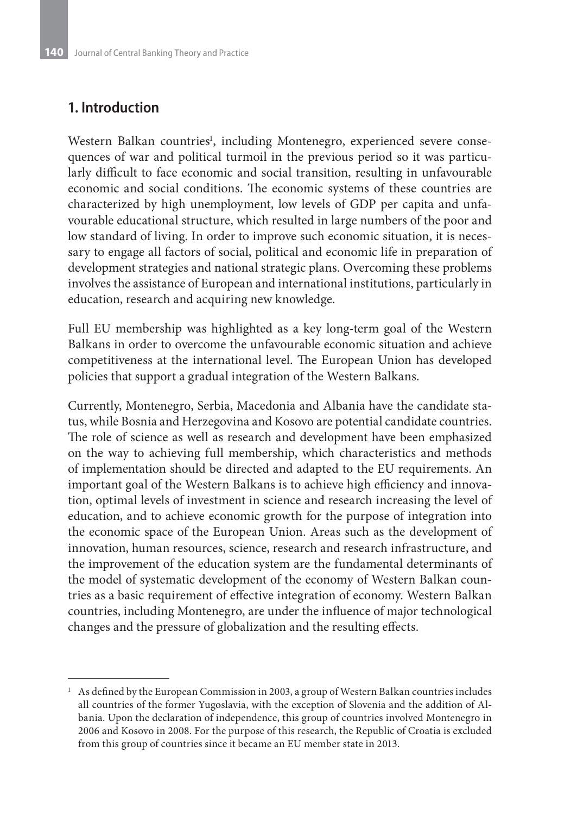### **1. Introduction**

Western Balkan countries<sup>1</sup>, including Montenegro, experienced severe consequences of war and political turmoil in the previous period so it was particularly difficult to face economic and social transition, resulting in unfavourable economic and social conditions. The economic systems of these countries are characterized by high unemployment, low levels of GDP per capita and unfavourable educational structure, which resulted in large numbers of the poor and low standard of living. In order to improve such economic situation, it is necessary to engage all factors of social, political and economic life in preparation of development strategies and national strategic plans. Overcoming these problems involves the assistance of European and international institutions, particularly in education, research and acquiring new knowledge.

Full EU membership was highlighted as a key long-term goal of the Western Balkans in order to overcome the unfavourable economic situation and achieve competitiveness at the international level. The European Union has developed policies that support a gradual integration of the Western Balkans.

Currently, Montenegro, Serbia, Macedonia and Albania have the candidate status, while Bosnia and Herzegovina and Kosovo are potential candidate countries. The role of science as well as research and development have been emphasized on the way to achieving full membership, which characteristics and methods of implementation should be directed and adapted to the EU requirements. An important goal of the Western Balkans is to achieve high efficiency and innovation, optimal levels of investment in science and research increasing the level of education, and to achieve economic growth for the purpose of integration into the economic space of the European Union. Areas such as the development of innovation, human resources, science, research and research infrastructure, and the improvement of the education system are the fundamental determinants of the model of systematic development of the economy of Western Balkan countries as a basic requirement of effective integration of economy. Western Balkan countries, including Montenegro, are under the influence of major technological changes and the pressure of globalization and the resulting effects.

 $1$  As defined by the European Commission in 2003, a group of Western Balkan countries includes all countries of the former Yugoslavia, with the exception of Slovenia and the addition of Albania. Upon the declaration of independence, this group of countries involved Montenegro in 2006 and Kosovo in 2008. For the purpose of this research, the Republic of Croatia is excluded from this group of countries since it became an EU member state in 2013.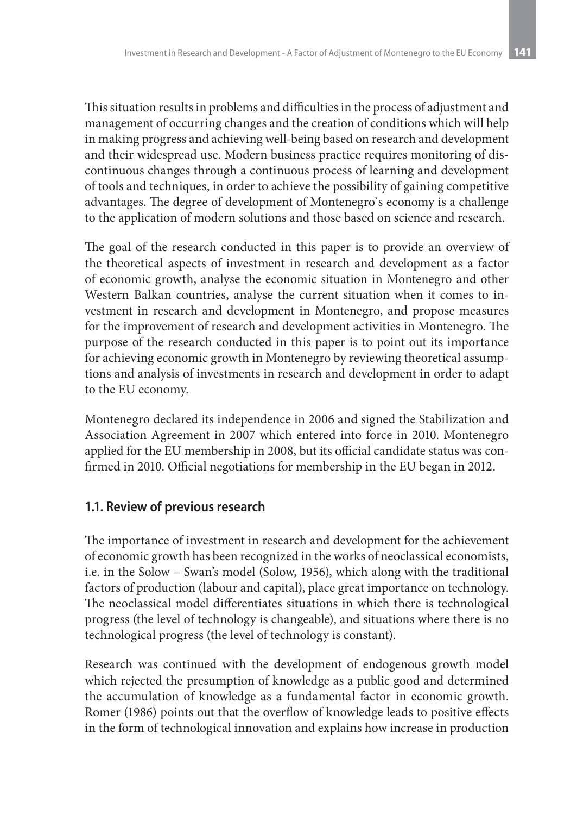This situation results in problems and difficulties in the process of adjustment and management of occurring changes and the creation of conditions which will help in making progress and achieving well-being based on research and development and their widespread use. Modern business practice requires monitoring of discontinuous changes through a continuous process of learning and development of tools and techniques, in order to achieve the possibility of gaining competitive advantages. The degree of development of Montenegro`s economy is a challenge to the application of modern solutions and those based on science and research.

The goal of the research conducted in this paper is to provide an overview of the theoretical aspects of investment in research and development as a factor of economic growth, analyse the economic situation in Montenegro and other Western Balkan countries, analyse the current situation when it comes to investment in research and development in Montenegro, and propose measures for the improvement of research and development activities in Montenegro. The purpose of the research conducted in this paper is to point out its importance for achieving economic growth in Montenegro by reviewing theoretical assumptions and analysis of investments in research and development in order to adapt to the EU economy.

Montenegro declared its independence in 2006 and signed the Stabilization and Association Agreement in 2007 which entered into force in 2010. Montenegro applied for the EU membership in 2008, but its official candidate status was confirmed in 2010. Official negotiations for membership in the EU began in 2012.

#### **1.1. Review of previous research**

The importance of investment in research and development for the achievement of economic growth has been recognized in the works of neoclassical economists, i.e. in the Solow – Swan's model (Solow, 1956), which along with the traditional factors of production (labour and capital), place great importance on technology. The neoclassical model differentiates situations in which there is technological progress (the level of technology is changeable), and situations where there is no technological progress (the level of technology is constant).

Research was continued with the development of endogenous growth model which rejected the presumption of knowledge as a public good and determined the accumulation of knowledge as a fundamental factor in economic growth. Romer (1986) points out that the overflow of knowledge leads to positive effects in the form of technological innovation and explains how increase in production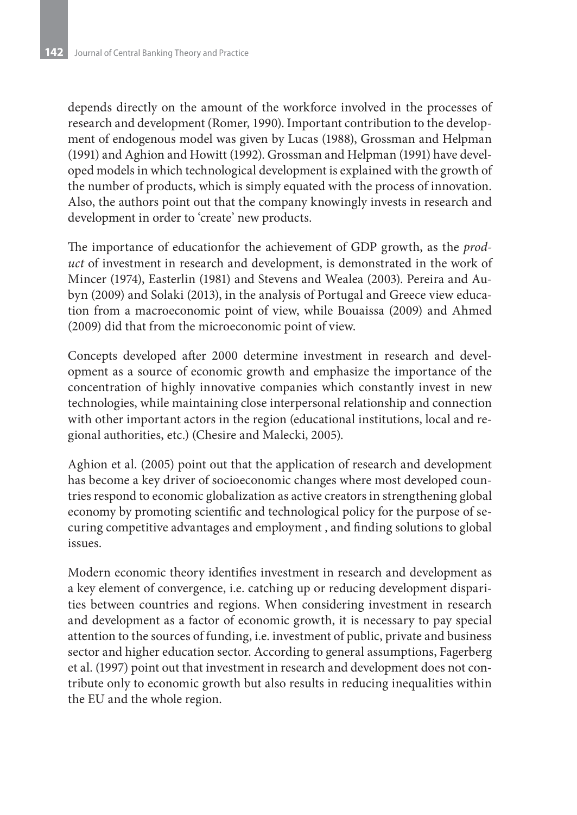depends directly on the amount of the workforce involved in the processes of research and development (Romer, 1990). Important contribution to the development of endogenous model was given by Lucas (1988), Grossman and Helpman (1991) and Aghion and Howitt (1992). Grossman and Helpman (1991) have developed models in which technological development is explained with the growth of the number of products, which is simply equated with the process of innovation. Also, the authors point out that the company knowingly invests in research and development in order to 'create' new products.

The importance of educationfor the achievement of GDP growth, as the *product* of investment in research and development, is demonstrated in the work of Mincer (1974), Easterlin (1981) and Stevens and Wealea (2003). Pereira and Aubyn (2009) and Solaki (2013), in the analysis of Portugal and Greece view education from a macroeconomic point of view, while Bouaissa (2009) and Αhmed (2009) did that from the microeconomic point of view.

Concepts developed after 2000 determine investment in research and development as a source of economic growth and emphasize the importance of the concentration of highly innovative companies which constantly invest in new technologies, while maintaining close interpersonal relationship and connection with other important actors in the region (educational institutions, local and regional authorities, etc.) (Chesire and Malecki, 2005).

Aghion et al. (2005) point out that the application of research and development has become a key driver of socioeconomic changes where most developed countries respond to economic globalization as active creators in strengthening global economy by promoting scientific and technological policy for the purpose of securing competitive advantages and employment , and finding solutions to global issues.

Modern economic theory identifies investment in research and development as a key element of convergence, i.e. catching up or reducing development disparities between countries and regions. When considering investment in research and development as a factor of economic growth, it is necessary to pay special attention to the sources of funding, i.e. investment of public, private and business sector and higher education sector. According to general assumptions, Fagerberg et al. (1997) point out that investment in research and development does not contribute only to economic growth but also results in reducing inequalities within the EU and the whole region.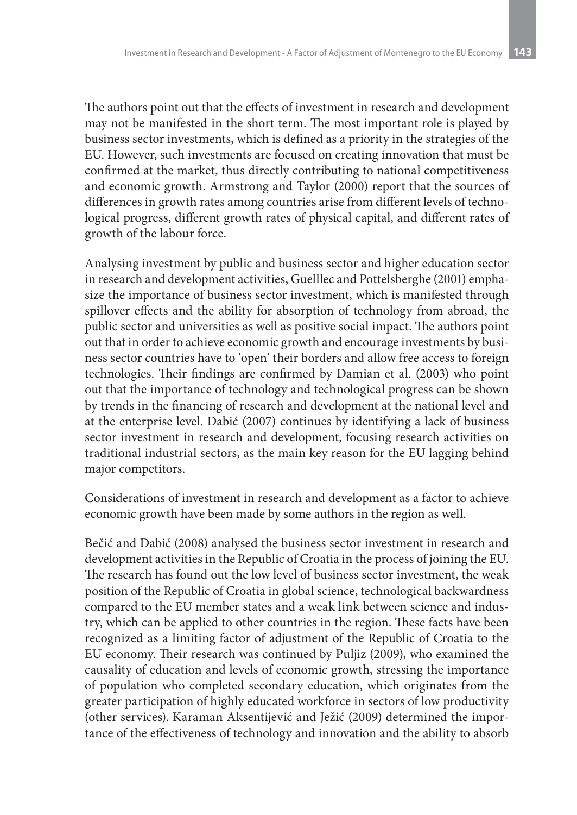The authors point out that the effects of investment in research and development may not be manifested in the short term. The most important role is played by business sector investments, which is defined as a priority in the strategies of the EU. However, such investments are focused on creating innovation that must be confirmed at the market, thus directly contributing to national competitiveness and economic growth. Armstrong and Taylor (2000) report that the sources of differences in growth rates among countries arise from different levels of technological progress, different growth rates of physical capital, and different rates of growth of the labour force.

Analysing investment by public and business sector and higher education sector in research and development activities, Guelllec and Pottelsberghe (2001) emphasize the importance of business sector investment, which is manifested through spillover effects and the ability for absorption of technology from abroad, the public sector and universities as well as positive social impact. The authors point out that in order to achieve economic growth and encourage investments by business sector countries have to 'open' their borders and allow free access to foreign technologies. Their findings are confirmed by Damian et al. (2003) who point out that the importance of technology and technological progress can be shown by trends in the financing of research and development at the national level and at the enterprise level. Dabić (2007) continues by identifying a lack of business sector investment in research and development, focusing research activities on traditional industrial sectors, as the main key reason for the EU lagging behind major competitors.

Considerations of investment in research and development as a factor to achieve economic growth have been made by some authors in the region as well.

Bečić and Dabić (2008) analysed the business sector investment in research and development activities in the Republic of Croatia in the process of joining the EU. The research has found out the low level of business sector investment, the weak position of the Republic of Croatia in global science, technological backwardness compared to the EU member states and a weak link between science and industry, which can be applied to other countries in the region. These facts have been recognized as a limiting factor of adjustment of the Republic of Croatia to the EU economy. Their research was continued by Puljiz (2009), who examined the causality of education and levels of economic growth, stressing the importance of population who completed secondary education, which originates from the greater participation of highly educated workforce in sectors of low productivity (other services). Karaman Aksentijević and Ježić (2009) determined the importance of the effectiveness of technology and innovation and the ability to absorb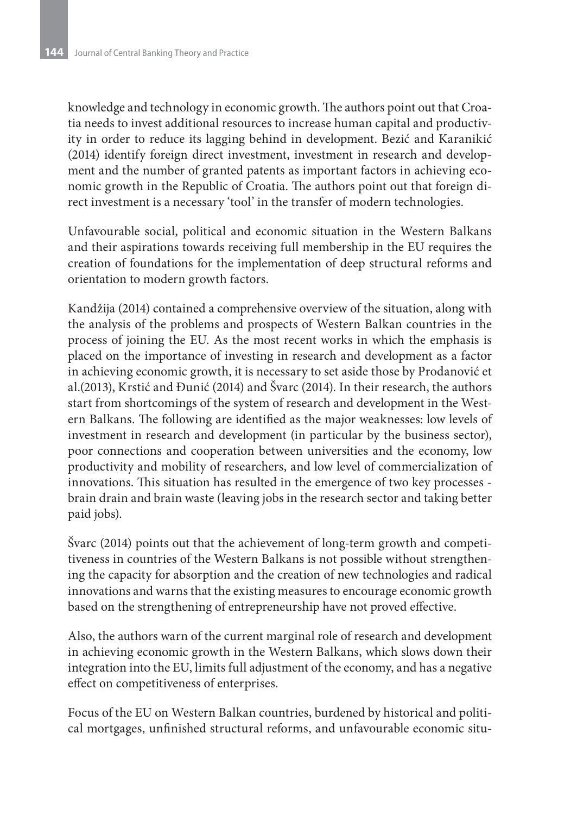knowledge and technology in economic growth. The authors point out that Croatia needs to invest additional resources to increase human capital and productivity in order to reduce its lagging behind in development. Bezić and Karanikić (2014) identify foreign direct investment, investment in research and development and the number of granted patents as important factors in achieving economic growth in the Republic of Croatia. The authors point out that foreign direct investment is a necessary 'tool' in the transfer of modern technologies.

Unfavourable social, political and economic situation in the Western Balkans and their aspirations towards receiving full membership in the EU requires the creation of foundations for the implementation of deep structural reforms and orientation to modern growth factors.

Kandžija (2014) contained a comprehensive overview of the situation, along with the analysis of the problems and prospects of Western Balkan countries in the process of joining the EU. As the most recent works in which the emphasis is placed on the importance of investing in research and development as a factor in achieving economic growth, it is necessary to set aside those by Prodanović et al.(2013), Krstić and Đunić (2014) and Švarc (2014). In their research, the authors start from shortcomings of the system of research and development in the Western Balkans. The following are identified as the major weaknesses: low levels of investment in research and development (in particular by the business sector), poor connections and cooperation between universities and the economy, low productivity and mobility of researchers, and low level of commercialization of innovations. This situation has resulted in the emergence of two key processes brain drain and brain waste (leaving jobs in the research sector and taking better paid jobs).

Švarc (2014) points out that the achievement of long-term growth and competitiveness in countries of the Western Balkans is not possible without strengthening the capacity for absorption and the creation of new technologies and radical innovations and warns that the existing measures to encourage economic growth based on the strengthening of entrepreneurship have not proved effective.

Also, the authors warn of the current marginal role of research and development in achieving economic growth in the Western Balkans, which slows down their integration into the EU, limits full adjustment of the economy, and has a negative effect on competitiveness of enterprises.

Focus of the EU on Western Balkan countries, burdened by historical and political mortgages, unfinished structural reforms, and unfavourable economic situ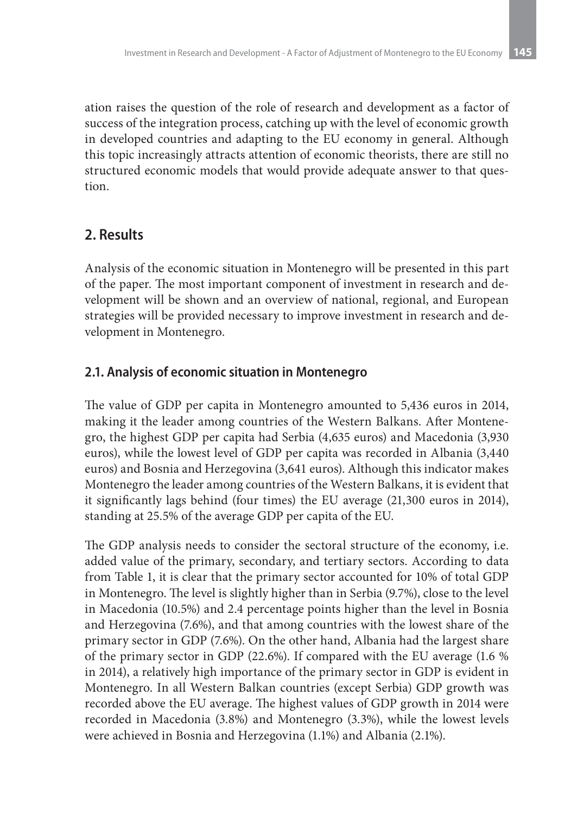ation raises the question of the role of research and development as a factor of success of the integration process, catching up with the level of economic growth in developed countries and adapting to the EU economy in general. Although this topic increasingly attracts attention of economic theorists, there are still no structured economic models that would provide adequate answer to that question.

### **2. Results**

Analysis of the economic situation in Montenegro will be presented in this part of the paper. The most important component of investment in research and development will be shown and an overview of national, regional, and European strategies will be provided necessary to improve investment in research and development in Montenegro.

#### **2.1. Analysis of economic situation in Montenegro**

The value of GDP per capita in Montenegro amounted to 5,436 euros in 2014, making it the leader among countries of the Western Balkans. After Montenegro, the highest GDP per capita had Serbia (4,635 euros) and Macedonia (3,930 euros), while the lowest level of GDP per capita was recorded in Albania (3,440 euros) and Bosnia and Herzegovina (3,641 euros). Although this indicator makes Montenegro the leader among countries of the Western Balkans, it is evident that it significantly lags behind (four times) the EU average (21,300 euros in 2014), standing at 25.5% of the average GDP per capita of the EU.

The GDP analysis needs to consider the sectoral structure of the economy, i.e. added value of the primary, secondary, and tertiary sectors. According to data from Table 1, it is clear that the primary sector accounted for 10% of total GDP in Montenegro. The level is slightly higher than in Serbia (9.7%), close to the level in Macedonia (10.5%) and 2.4 percentage points higher than the level in Bosnia and Herzegovina (7.6%), and that among countries with the lowest share of the primary sector in GDP (7.6%). On the other hand, Albania had the largest share of the primary sector in GDP (22.6%). If compared with the EU average (1.6 % in 2014), a relatively high importance of the primary sector in GDP is evident in Montenegro. In all Western Balkan countries (except Serbia) GDP growth was recorded above the EU average. The highest values of GDP growth in 2014 were recorded in Macedonia (3.8%) and Montenegro (3.3%), while the lowest levels were achieved in Bosnia and Herzegovina (1.1%) and Albania (2.1%).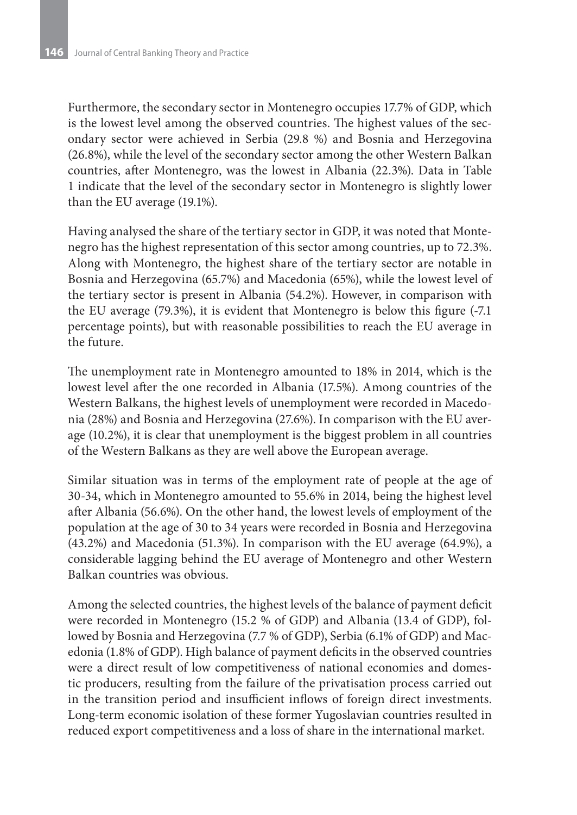Furthermore, the secondary sector in Montenegro occupies 17.7% of GDP, which is the lowest level among the observed countries. The highest values of the secondary sector were achieved in Serbia (29.8 %) and Bosnia and Herzegovina (26.8%), while the level of the secondary sector among the other Western Balkan countries, after Montenegro, was the lowest in Albania (22.3%). Data in Table 1 indicate that the level of the secondary sector in Montenegro is slightly lower than the EU average (19.1%).

Having analysed the share of the tertiary sector in GDP, it was noted that Montenegro has the highest representation of this sector among countries, up to 72.3%. Along with Montenegro, the highest share of the tertiary sector are notable in Bosnia and Herzegovina (65.7%) and Macedonia (65%), while the lowest level of the tertiary sector is present in Albania (54.2%). However, in comparison with the EU average (79.3%), it is evident that Montenegro is below this figure (-7.1 percentage points), but with reasonable possibilities to reach the EU average in the future.

The unemployment rate in Montenegro amounted to 18% in 2014, which is the lowest level after the one recorded in Albania (17.5%). Among countries of the Western Balkans, the highest levels of unemployment were recorded in Macedonia (28%) and Bosnia and Herzegovina (27.6%). In comparison with the EU average (10.2%), it is clear that unemployment is the biggest problem in all countries of the Western Balkans as they are well above the European average.

Similar situation was in terms of the employment rate of people at the age of 30-34, which in Montenegro amounted to 55.6% in 2014, being the highest level after Albania (56.6%). On the other hand, the lowest levels of employment of the population at the age of 30 to 34 years were recorded in Bosnia and Herzegovina (43.2%) and Macedonia (51.3%). In comparison with the EU average (64.9%), a considerable lagging behind the EU average of Montenegro and other Western Balkan countries was obvious.

Among the selected countries, the highest levels of the balance of payment deficit were recorded in Montenegro (15.2 % of GDP) and Albania (13.4 of GDP), followed by Bosnia and Herzegovina (7.7 % of GDP), Serbia (6.1% of GDP) and Macedonia (1.8% of GDP). High balance of payment deficits in the observed countries were a direct result of low competitiveness of national economies and domestic producers, resulting from the failure of the privatisation process carried out in the transition period and insufficient inflows of foreign direct investments. Long-term economic isolation of these former Yugoslavian countries resulted in reduced export competitiveness and a loss of share in the international market.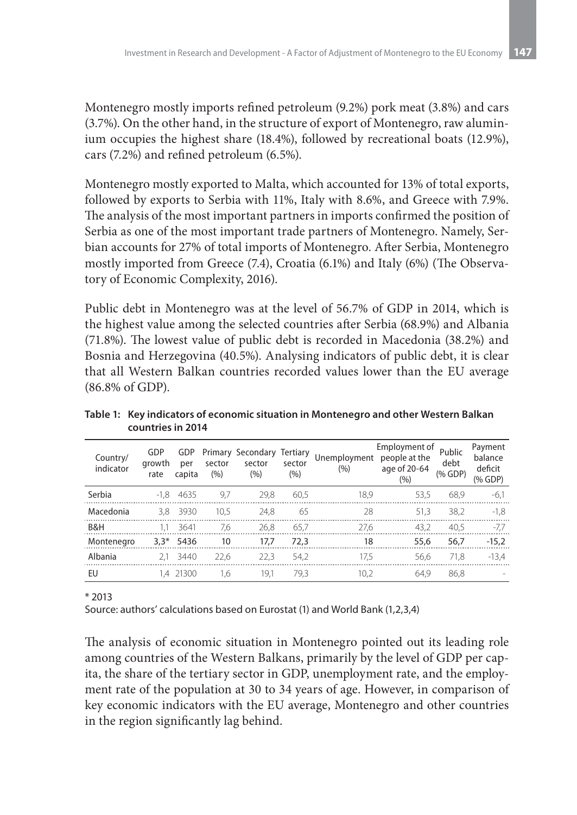Montenegro mostly imports refined petroleum (9.2%) pork meat (3.8%) and cars (3.7%). On the other hand, in the structure of export of Montenegro, raw aluminium occupies the highest share (18.4%), followed by recreational boats (12.9%), cars (7.2%) and refined petroleum (6.5%).

Montenegro mostly exported to Malta, which accounted for 13% of total exports, followed by exports to Serbia with 11%, Italy with 8.6%, and Greece with 7.9%. The analysis of the most important partners in imports confirmed the position of Serbia as one of the most important trade partners of Montenegro. Namely, Serbian accounts for 27% of total imports of Montenegro. After Serbia, Montenegro mostly imported from Greece (7.4), Croatia (6.1%) and Italy (6%) (The Observatory of Economic Complexity, 2016).

Public debt in Montenegro was at the level of 56.7% of GDP in 2014, which is the highest value among the selected countries after Serbia (68.9%) and Albania (71.8%). The lowest value of public debt is recorded in Macedonia (38.2%) and Bosnia and Herzegovina (40.5%). Analysing indicators of public debt, it is clear that all Western Balkan countries recorded values lower than the EU average (86.8% of GDP).

| Country/<br>indicator | GDP<br>arowth<br>rate | GDP<br>per<br>capita | sector<br>$(\% )$ | Primary Secondary<br>sector<br>(%) | Tertiary<br>sector<br>(%) | Unemployment<br>(%) | Employment of<br>people at the<br>age of 20-64<br>(%) | Public<br>debt<br>(% GDP) | Payment<br>balance<br>deficit<br>(% GDP) |
|-----------------------|-----------------------|----------------------|-------------------|------------------------------------|---------------------------|---------------------|-------------------------------------------------------|---------------------------|------------------------------------------|
| Serbia                | -1.8                  | 4635                 | 9,7               | 29,8                               | 60,5                      | 18,9                | 53,5                                                  | 68,9                      | $-6,1$                                   |
| Macedonia             | 3.8                   | 3930                 | 10,5              | 24,8                               | 65                        | 28                  | 51,3                                                  | 38,2                      | $-1.8$                                   |
| B&H                   | 1.1                   | 3641                 | 7,6               | 26,8                               | 65,7                      | 27.6                | 43,2                                                  | 40,5                      | -7,7                                     |
| Montenegro            |                       | $3.3*$ 5436          | 10                | 17.7                               | 72.3                      | 18                  | 55.6                                                  | 56,7                      | $-15,2$                                  |
| Albania               |                       | 2.1 3440             | 22,6              | 22.3                               | 54.2                      | 17.5                | 56.6                                                  | 71,8                      | $-13,4$                                  |
| EU                    |                       | 1.4 21300            | 1,6               | 19.1                               | 79,3                      | 10,2                | 64.9                                                  | 86,8                      |                                          |

**Table 1: Key indicators of economic situation in Montenegro and other Western Balkan countries in 2014**

\* 2013

Source: authors' calculations based on Eurostat (1) and World Bank (1,2,3,4)

The analysis of economic situation in Montenegro pointed out its leading role among countries of the Western Balkans, primarily by the level of GDP per capita, the share of the tertiary sector in GDP, unemployment rate, and the employment rate of the population at 30 to 34 years of age. However, in comparison of key economic indicators with the EU average, Montenegro and other countries in the region significantly lag behind.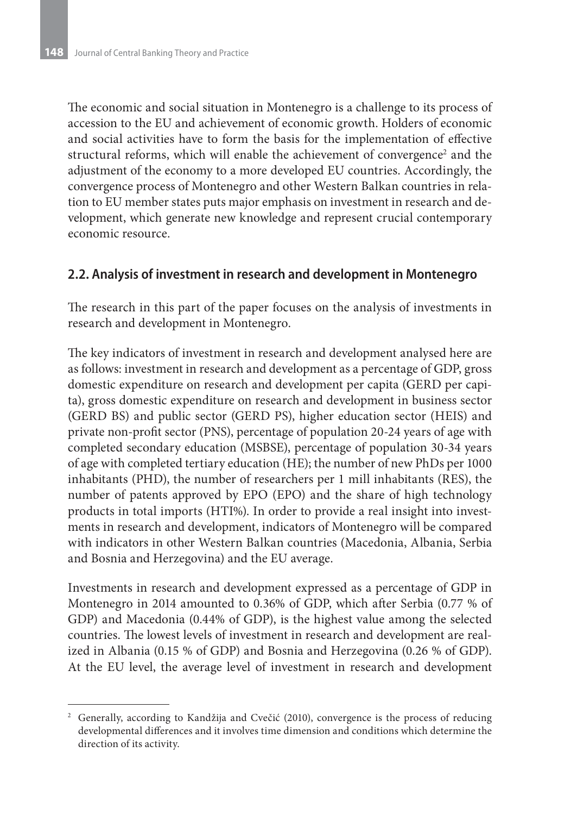The economic and social situation in Montenegro is a challenge to its process of accession to the EU and achievement of economic growth. Holders of economic and social activities have to form the basis for the implementation of effective structural reforms, which will enable the achievement of convergence<sup>2</sup> and the adjustment of the economy to a more developed EU countries. Accordingly, the convergence process of Montenegro and other Western Balkan countries in relation to EU member states puts major emphasis on investment in research and development, which generate new knowledge and represent crucial contemporary economic resource.

#### **2.2. Analysis of investment in research and development in Montenegro**

The research in this part of the paper focuses on the analysis of investments in research and development in Montenegro.

The key indicators of investment in research and development analysed here are as follows: investment in research and development as a percentage of GDP, gross domestic expenditure on research and development per capita (GERD per capita), gross domestic expenditure on research and development in business sector (GERD BS) and public sector (GERD PS), higher education sector (HEIS) and private non-profit sector (PNS), percentage of population 20-24 years of age with completed secondary education (MSBSE), percentage of population 30-34 years of age with completed tertiary education (HE); the number of new PhDs per 1000 inhabitants (PHD), the number of researchers per 1 mill inhabitants (RES), the number of patents approved by EPO (EPO) and the share of high technology products in total imports (HTI%). In order to provide a real insight into investments in research and development, indicators of Montenegro will be compared with indicators in other Western Balkan countries (Macedonia, Albania, Serbia and Bosnia and Herzegovina) and the EU average.

Investments in research and development expressed as a percentage of GDP in Montenegro in 2014 amounted to 0.36% of GDP, which after Serbia (0.77 % of GDP) and Macedonia (0.44% of GDP), is the highest value among the selected countries. The lowest levels of investment in research and development are realized in Albania (0.15 % of GDP) and Bosnia and Herzegovina (0.26 % of GDP). At the EU level, the average level of investment in research and development

<sup>2</sup> Generally, according to Kandžija and Cvečić (2010), convergence is the process of reducing developmental differences and it involves time dimension and conditions which determine the direction of its activity.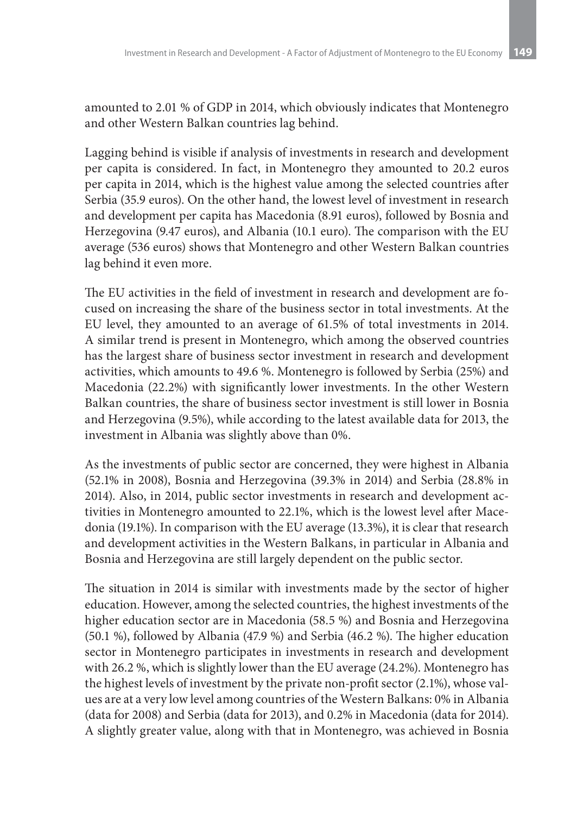amounted to 2.01 % of GDP in 2014, which obviously indicates that Montenegro and other Western Balkan countries lag behind.

Lagging behind is visible if analysis of investments in research and development per capita is considered. In fact, in Montenegro they amounted to 20.2 euros per capita in 2014, which is the highest value among the selected countries after Serbia (35.9 euros). On the other hand, the lowest level of investment in research and development per capita has Macedonia (8.91 euros), followed by Bosnia and Herzegovina (9.47 euros), and Albania (10.1 euro). The comparison with the EU average (536 euros) shows that Montenegro and other Western Balkan countries lag behind it even more.

The EU activities in the field of investment in research and development are focused on increasing the share of the business sector in total investments. At the EU level, they amounted to an average of 61.5% of total investments in 2014. A similar trend is present in Montenegro, which among the observed countries has the largest share of business sector investment in research and development activities, which amounts to 49.6 %. Montenegro is followed by Serbia (25%) and Macedonia (22.2%) with significantly lower investments. In the other Western Balkan countries, the share of business sector investment is still lower in Bosnia and Herzegovina (9.5%), while according to the latest available data for 2013, the investment in Albania was slightly above than 0%.

As the investments of public sector are concerned, they were highest in Albania (52.1% in 2008), Bosnia and Herzegovina (39.3% in 2014) and Serbia (28.8% in 2014). Also, in 2014, public sector investments in research and development activities in Montenegro amounted to 22.1%, which is the lowest level after Macedonia (19.1%). In comparison with the EU average (13.3%), it is clear that research and development activities in the Western Balkans, in particular in Albania and Bosnia and Herzegovina are still largely dependent on the public sector.

The situation in 2014 is similar with investments made by the sector of higher education. However, among the selected countries, the highest investments of the higher education sector are in Macedonia (58.5 %) and Bosnia and Herzegovina (50.1 %), followed by Albania (47.9 %) and Serbia (46.2 %). The higher education sector in Montenegro participates in investments in research and development with 26.2 %, which is slightly lower than the EU average (24.2%). Montenegro has the highest levels of investment by the private non-profit sector (2.1%), whose values are at a very low level among countries of the Western Balkans: 0% in Albania (data for 2008) and Serbia (data for 2013), and 0.2% in Macedonia (data for 2014). A slightly greater value, along with that in Montenegro, was achieved in Bosnia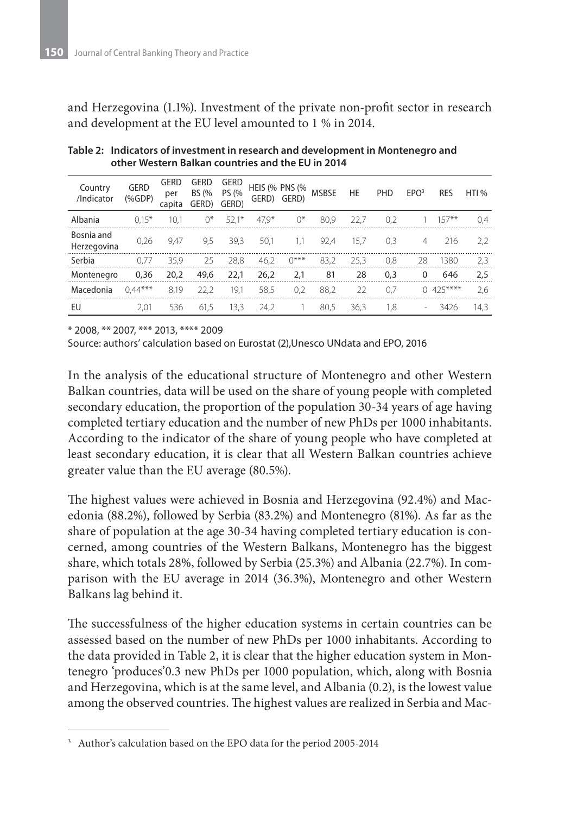and Herzegovina (1.1%). Investment of the private non-profit sector in research and development at the EU level amounted to 1 % in 2014.

| Country<br>/Indicator     | <b>GERD</b><br>$(%$ $(%$ $\mathbf{A})$ $\mathbf{A}$ $\mathbf{B}$ $\mathbf{C}$ $\mathbf{D}$ $\mathbf{P}$ $\mathbf{D}$ $\mathbf{P}$ $\mathbf{D}$ $\mathbf{D}$ $\mathbf{D}$ $\mathbf{D}$ $\mathbf{D}$ $\mathbf{D}$ $\mathbf{D}$ $\mathbf{D}$ $\mathbf{D}$ $\mathbf{D}$ $\mathbf{D}$ $\mathbf{D}$ $\mathbf{D}$ $\mathbf{D}$ $\mathbf{D}$ $\mathbf{D$ | <b>GERD</b><br>per<br>capita | GERD<br><b>BS (%</b><br>GERD) | <b>GERD</b><br>PS (%<br>GERD) |         | <b>HEIS (% PNS (%</b><br>GERD) GERD) | <b>MSBSE</b> | <b>HE</b> | PHD | EPO <sup>3</sup>         | <b>RES</b> | HTI <sub>%</sub> |
|---------------------------|--------------------------------------------------------------------------------------------------------------------------------------------------------------------------------------------------------------------------------------------------------------------------------------------------------------------------------------------------|------------------------------|-------------------------------|-------------------------------|---------|--------------------------------------|--------------|-----------|-----|--------------------------|------------|------------------|
| Albania                   | $0.15*$                                                                                                                                                                                                                                                                                                                                          | 10.1                         | 0*                            | $52.1*$                       | $47.9*$ | $0^*$                                | 80.9         | 22.7      | 0.2 |                          | $157***$   | 0.4              |
| Bosnia and<br>Herzegovina | 0,26                                                                                                                                                                                                                                                                                                                                             | 9.47                         | 9,5                           | 39,3                          | 50.1    | 1.1                                  | 92.4         | 15.7      | 0.3 | 4                        | 216        | 2,2              |
| Serbia                    | 0.77                                                                                                                                                                                                                                                                                                                                             | 35.9                         | 25                            | 28.8                          | 46.2    | $0***$                               | 83.2         | 25.3      | 0.8 | 28                       | 1380       | 2,3              |
| Montenegro                | 0,36                                                                                                                                                                                                                                                                                                                                             | 20,2                         | 49,6                          | 22,1                          | 26,2    | 2,1                                  | 81           | 28        | 0,3 | 0                        | 646        | 2,5              |
| Macedonia                 | $0.44***$                                                                                                                                                                                                                                                                                                                                        | 8.19                         | 22.2                          | 19,1                          | 58,5    | 0.2                                  | 88,2         | 22        | 0,7 | 0                        | 425****    | 2,6              |
| EU                        | 2.01                                                                                                                                                                                                                                                                                                                                             | 536                          | 61,5                          | 13,3                          | 24.2    |                                      | 80.5         | 36.3      | 1.8 | $\overline{\phantom{a}}$ | 3426       | 14,3             |

**Table 2: Indicators of investment in research and development in Montenegro and other Western Balkan countries and the EU in 20143**

\* 2008, \*\* 2007, \*\*\* 2013, \*\*\*\* 2009

Source: authors' calculation based on Eurostat (2),Unesco UNdata and EPO, 2016

In the analysis of the educational structure of Montenegro and other Western Balkan countries, data will be used on the share of young people with completed secondary education, the proportion of the population 30-34 years of age having completed tertiary education and the number of new PhDs per 1000 inhabitants. According to the indicator of the share of young people who have completed at least secondary education, it is clear that all Western Balkan countries achieve greater value than the EU average (80.5%).

The highest values were achieved in Bosnia and Herzegovina (92.4%) and Macedonia (88.2%), followed by Serbia (83.2%) and Montenegro (81%). As far as the share of population at the age 30-34 having completed tertiary education is concerned, among countries of the Western Balkans, Montenegro has the biggest share, which totals 28%, followed by Serbia (25.3%) and Albania (22.7%). In comparison with the EU average in 2014 (36.3%), Montenegro and other Western Balkans lag behind it.

The successfulness of the higher education systems in certain countries can be assessed based on the number of new PhDs per 1000 inhabitants. According to the data provided in Table 2, it is clear that the higher education system in Montenegro 'produces'0.3 new PhDs per 1000 population, which, along with Bosnia and Herzegovina, which is at the same level, and Albania (0.2), is the lowest value among the observed countries. The highest values are realized in Serbia and Mac-

<sup>&</sup>lt;sup>3</sup> Author's calculation based on the EPO data for the period 2005-2014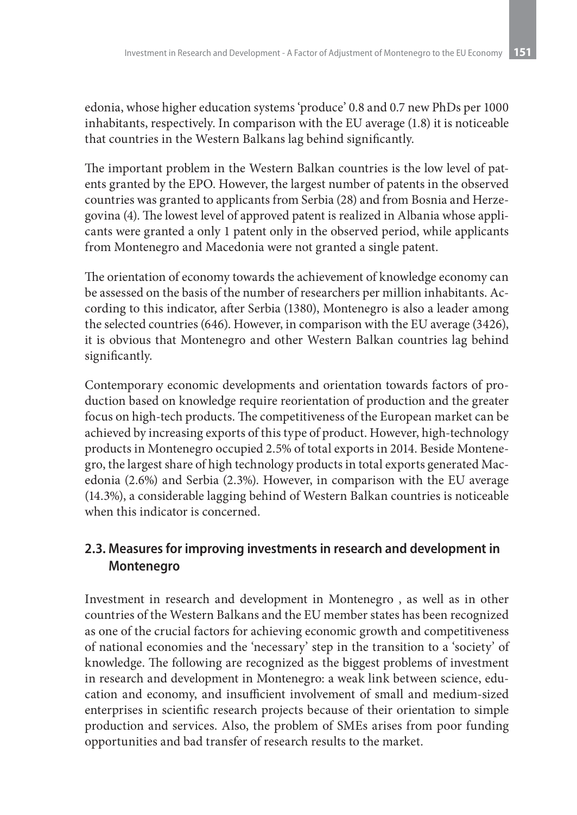edonia, whose higher education systems 'produce' 0.8 and 0.7 new PhDs per 1000 inhabitants, respectively. In comparison with the EU average (1.8) it is noticeable that countries in the Western Balkans lag behind significantly.

The important problem in the Western Balkan countries is the low level of patents granted by the EPO. However, the largest number of patents in the observed countries was granted to applicants from Serbia (28) and from Bosnia and Herzegovina (4). The lowest level of approved patent is realized in Albania whose applicants were granted a only 1 patent only in the observed period, while applicants from Montenegro and Macedonia were not granted a single patent.

The orientation of economy towards the achievement of knowledge economy can be assessed on the basis of the number of researchers per million inhabitants. According to this indicator, after Serbia (1380), Montenegro is also a leader among the selected countries (646). However, in comparison with the EU average (3426), it is obvious that Montenegro and other Western Balkan countries lag behind significantly.

Contemporary economic developments and orientation towards factors of production based on knowledge require reorientation of production and the greater focus on high-tech products. The competitiveness of the European market can be achieved by increasing exports of this type of product. However, high-technology products in Montenegro occupied 2.5% of total exports in 2014. Beside Montenegro, the largest share of high technology products in total exports generated Macedonia (2.6%) and Serbia (2.3%). However, in comparison with the EU average (14.3%), a considerable lagging behind of Western Balkan countries is noticeable when this indicator is concerned.

### **2.3. Measures for improving investments in research and development in Montenegro**

Investment in research and development in Montenegro , as well as in other countries of the Western Balkans and the EU member states has been recognized as one of the crucial factors for achieving economic growth and competitiveness of national economies and the 'necessary' step in the transition to a 'society' of knowledge. The following are recognized as the biggest problems of investment in research and development in Montenegro: a weak link between science, education and economy, and insufficient involvement of small and medium-sized enterprises in scientific research projects because of their orientation to simple production and services. Also, the problem of SMEs arises from poor funding opportunities and bad transfer of research results to the market.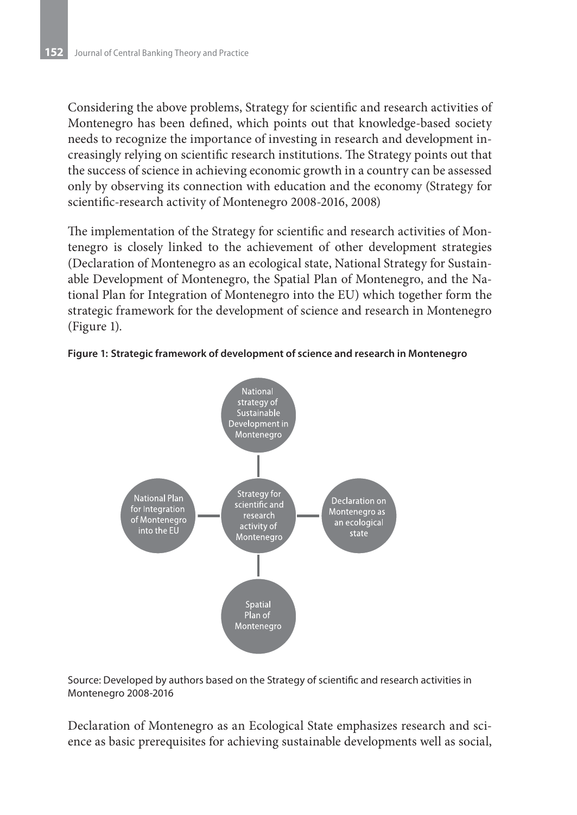Considering the above problems, Strategy for scientific and research activities of Montenegro has been defined, which points out that knowledge-based society needs to recognize the importance of investing in research and development increasingly relying on scientific research institutions. The Strategy points out that the success of science in achieving economic growth in a country can be assessed only by observing its connection with education and the economy (Strategy for scientific-research activity of Montenegro 2008-2016, 2008)

The implementation of the Strategy for scientific and research activities of Montenegro is closely linked to the achievement of other development strategies (Declaration of Montenegro as an ecological state, National Strategy for Sustainable Development of Montenegro, the Spatial Plan of Montenegro, and the National Plan for Integration of Montenegro into the EU) which together form the strategic framework for the development of science and research in Montenegro (Figure 1).





Source: Developed by authors based on the Strategy of scientific and research activities in Montenegro 2008-2016

Declaration of Montenegro as an Ecological State emphasizes research and science as basic prerequisites for achieving sustainable developments well as social,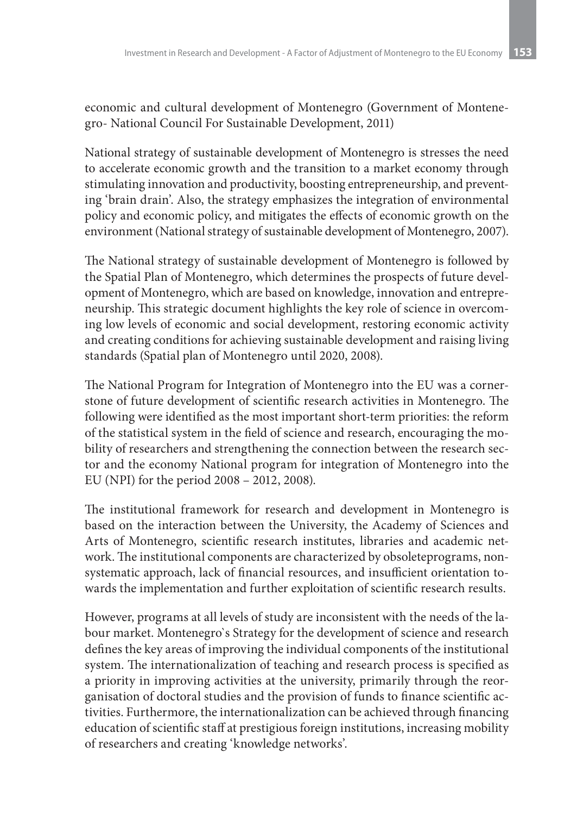economic and cultural development of Montenegro (Government of Montenegro- National Council For Sustainable Development, 2011)

National strategy of sustainable development of Montenegro is stresses the need to accelerate economic growth and the transition to a market economy through stimulating innovation and productivity, boosting entrepreneurship, and preventing 'brain drain'. Also, the strategy emphasizes the integration of environmental policy and economic policy, and mitigates the effects of economic growth on the environment (National strategy of sustainable development of Montenegro, 2007).

The National strategy of sustainable development of Montenegro is followed by the Spatial Plan of Montenegro, which determines the prospects of future development of Montenegro, which are based on knowledge, innovation and entrepreneurship. This strategic document highlights the key role of science in overcoming low levels of economic and social development, restoring economic activity and creating conditions for achieving sustainable development and raising living standards (Spatial plan of Montenegro until 2020, 2008).

The National Program for Integration of Montenegro into the EU was a cornerstone of future development of scientific research activities in Montenegro. The following were identified as the most important short-term priorities: the reform of the statistical system in the field of science and research, encouraging the mobility of researchers and strengthening the connection between the research sector and the economy National program for integration of Montenegro into the EU (NPI) for the period 2008 – 2012, 2008).

The institutional framework for research and development in Montenegro is based on the interaction between the University, the Academy of Sciences and Arts of Montenegro, scientific research institutes, libraries and academic network. The institutional components are characterized by obsoleteprograms, nonsystematic approach, lack of financial resources, and insufficient orientation towards the implementation and further exploitation of scientific research results.

However, programs at all levels of study are inconsistent with the needs of the labour market. Montenegro`s Strategy for the development of science and research defines the key areas of improving the individual components of the institutional system. The internationalization of teaching and research process is specified as a priority in improving activities at the university, primarily through the reorganisation of doctoral studies and the provision of funds to finance scientific activities. Furthermore, the internationalization can be achieved through financing education of scientific staff at prestigious foreign institutions, increasing mobility of researchers and creating 'knowledge networks'.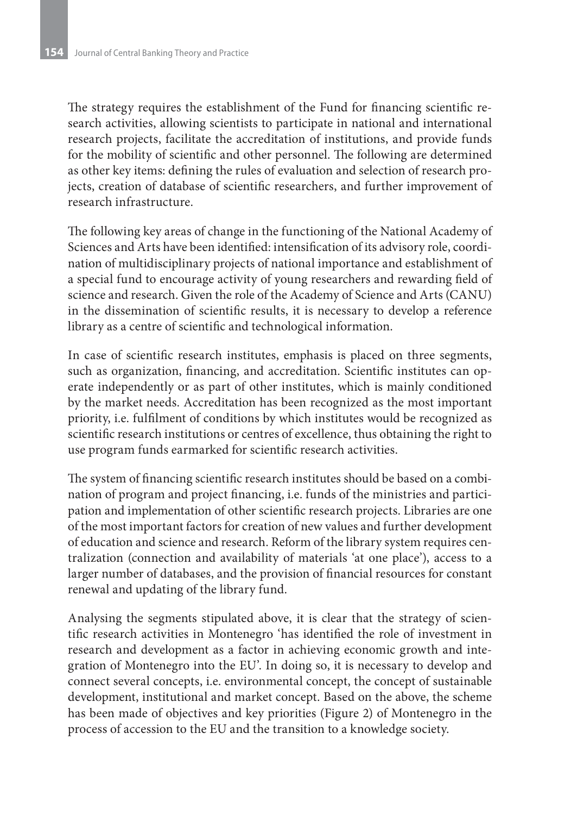The strategy requires the establishment of the Fund for financing scientific research activities, allowing scientists to participate in national and international research projects, facilitate the accreditation of institutions, and provide funds for the mobility of scientific and other personnel. The following are determined as other key items: defining the rules of evaluation and selection of research projects, creation of database of scientific researchers, and further improvement of research infrastructure.

The following key areas of change in the functioning of the National Academy of Sciences and Arts have been identified: intensification of its advisory role, coordination of multidisciplinary projects of national importance and establishment of a special fund to encourage activity of young researchers and rewarding field of science and research. Given the role of the Academy of Science and Arts (CANU) in the dissemination of scientific results, it is necessary to develop a reference library as a centre of scientific and technological information.

In case of scientific research institutes, emphasis is placed on three segments, such as organization, financing, and accreditation. Scientific institutes can operate independently or as part of other institutes, which is mainly conditioned by the market needs. Accreditation has been recognized as the most important priority, i.e. fulfilment of conditions by which institutes would be recognized as scientific research institutions or centres of excellence, thus obtaining the right to use program funds earmarked for scientific research activities.

The system of financing scientific research institutes should be based on a combination of program and project financing, i.e. funds of the ministries and participation and implementation of other scientific research projects. Libraries are one of the most important factors for creation of new values and further development of education and science and research. Reform of the library system requires centralization (connection and availability of materials 'at one place'), access to a larger number of databases, and the provision of financial resources for constant renewal and updating of the library fund.

Analysing the segments stipulated above, it is clear that the strategy of scientific research activities in Montenegro 'has identified the role of investment in research and development as a factor in achieving economic growth and integration of Montenegro into the EU'. In doing so, it is necessary to develop and connect several concepts, i.e. environmental concept, the concept of sustainable development, institutional and market concept. Based on the above, the scheme has been made of objectives and key priorities (Figure 2) of Montenegro in the process of accession to the EU and the transition to a knowledge society.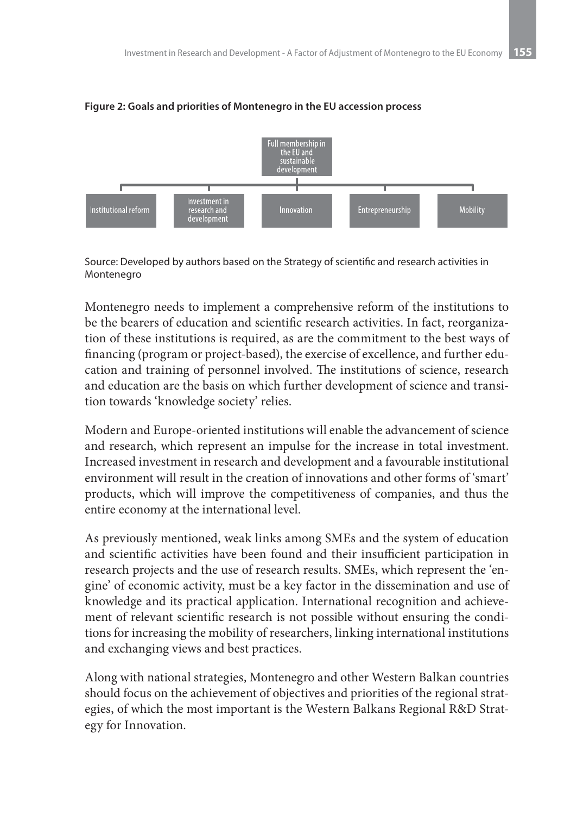

#### **Figure 2: Goals and priorities of Montenegro in the EU accession process**

Source: Developed by authors based on the Strategy of scientific and research activities in Montenegro

Montenegro needs to implement a comprehensive reform of the institutions to be the bearers of education and scientific research activities. In fact, reorganization of these institutions is required, as are the commitment to the best ways of financing (program or project-based), the exercise of excellence, and further education and training of personnel involved. The institutions of science, research and education are the basis on which further development of science and transition towards 'knowledge society' relies.

Modern and Europe-oriented institutions will enable the advancement of science and research, which represent an impulse for the increase in total investment. Increased investment in research and development and a favourable institutional environment will result in the creation of innovations and other forms of 'smart' products, which will improve the competitiveness of companies, and thus the entire economy at the international level.

As previously mentioned, weak links among SMEs and the system of education and scientific activities have been found and their insufficient participation in research projects and the use of research results. SMEs, which represent the 'engine' of economic activity, must be a key factor in the dissemination and use of knowledge and its practical application. International recognition and achievement of relevant scientific research is not possible without ensuring the conditions for increasing the mobility of researchers, linking international institutions and exchanging views and best practices.

Along with national strategies, Montenegro and other Western Balkan countries should focus on the achievement of objectives and priorities of the regional strategies, of which the most important is the Western Balkans Regional R&D Strategy for Innovation.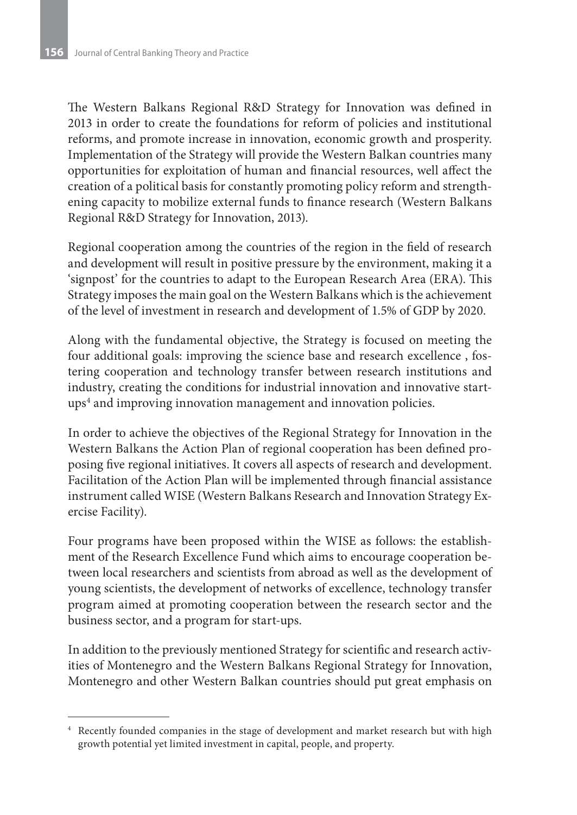The Western Balkans Regional R&D Strategy for Innovation was defined in 2013 in order to create the foundations for reform of policies and institutional reforms, and promote increase in innovation, economic growth and prosperity. Implementation of the Strategy will provide the Western Balkan countries many opportunities for exploitation of human and financial resources, well affect the creation of a political basis for constantly promoting policy reform and strengthening capacity to mobilize external funds to finance research (Western Balkans Regional R&D Strategy for Innovation, 2013).

Regional cooperation among the countries of the region in the field of research and development will result in positive pressure by the environment, making it a 'signpost' for the countries to adapt to the European Research Area (ERA). This Strategy imposes the main goal on the Western Balkans which is the achievement of the level of investment in research and development of 1.5% of GDP by 2020.

Along with the fundamental objective, the Strategy is focused on meeting the four additional goals: improving the science base and research excellence , fostering cooperation and technology transfer between research institutions and industry, creating the conditions for industrial innovation and innovative startups4 and improving innovation management and innovation policies.

In order to achieve the objectives of the Regional Strategy for Innovation in the Western Balkans the Action Plan of regional cooperation has been defined proposing five regional initiatives. It covers all aspects of research and development. Facilitation of the Action Plan will be implemented through financial assistance instrument called WISE (Western Balkans Research and Innovation Strategy Exercise Facility).

Four programs have been proposed within the WISE as follows: the establishment of the Research Excellence Fund which aims to encourage cooperation between local researchers and scientists from abroad as well as the development of young scientists, the development of networks of excellence, technology transfer program aimed at promoting cooperation between the research sector and the business sector, and a program for start-ups.

In addition to the previously mentioned Strategy for scientific and research activities of Montenegro and the Western Balkans Regional Strategy for Innovation, Montenegro and other Western Balkan countries should put great emphasis on

<sup>4</sup> Recently founded companies in the stage of development and market research but with high growth potential yet limited investment in capital, people, and property.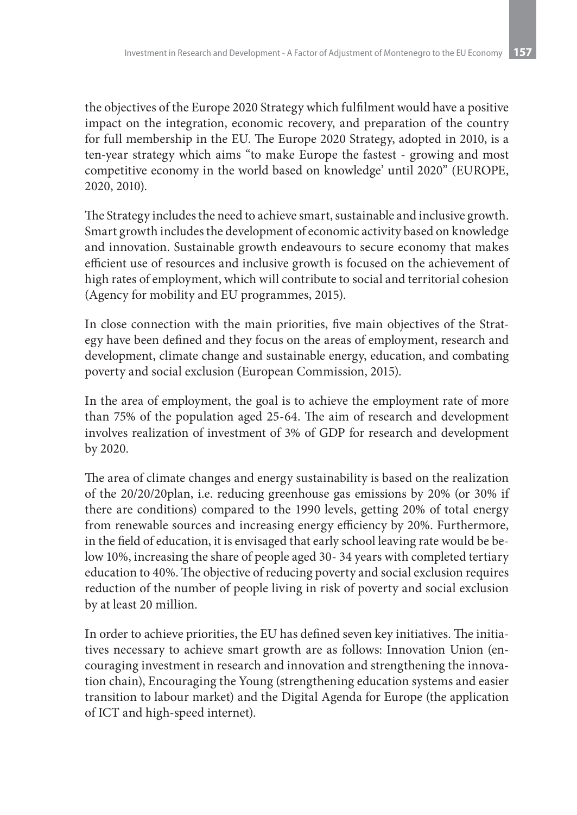the objectives of the Europe 2020 Strategy which fulfilment would have a positive impact on the integration, economic recovery, and preparation of the country for full membership in the EU. The Europe 2020 Strategy, adopted in 2010, is a ten-year strategy which aims "to make Europe the fastest - growing and most competitive economy in the world based on knowledge' until 2020" (EUROPE, 2020, 2010).

The Strategy includes the need to achieve smart, sustainable and inclusive growth. Smart growth includes the development of economic activity based on knowledge and innovation. Sustainable growth endeavours to secure economy that makes efficient use of resources and inclusive growth is focused on the achievement of high rates of employment, which will contribute to social and territorial cohesion (Agency for mobility and EU programmes, 2015).

In close connection with the main priorities, five main objectives of the Strategy have been defined and they focus on the areas of employment, research and development, climate change and sustainable energy, education, and combating poverty and social exclusion (European Commission, 2015).

In the area of employment, the goal is to achieve the employment rate of more than 75% of the population aged 25-64. The aim of research and development involves realization of investment of 3% of GDP for research and development by 2020.

The area of climate changes and energy sustainability is based on the realization of the 20/20/20plan, i.e. reducing greenhouse gas emissions by 20% (or 30% if there are conditions) compared to the 1990 levels, getting 20% of total energy from renewable sources and increasing energy efficiency by 20%. Furthermore, in the field of education, it is envisaged that early school leaving rate would be below 10%, increasing the share of people aged 30- 34 years with completed tertiary education to 40%. The objective of reducing poverty and social exclusion requires reduction of the number of people living in risk of poverty and social exclusion by at least 20 million.

In order to achieve priorities, the EU has defined seven key initiatives. The initiatives necessary to achieve smart growth are as follows: Innovation Union (encouraging investment in research and innovation and strengthening the innovation chain), Encouraging the Young (strengthening education systems and easier transition to labour market) and the Digital Agenda for Europe (the application of ICT and high-speed internet).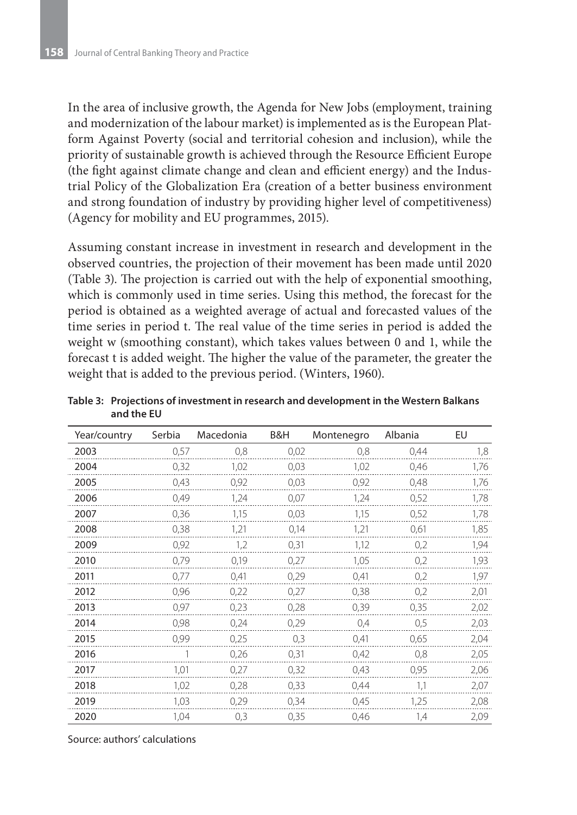In the area of inclusive growth, the Agenda for New Jobs (employment, training and modernization of the labour market) is implemented as is the European Platform Against Poverty (social and territorial cohesion and inclusion), while the priority of sustainable growth is achieved through the Resource Efficient Europe (the fight against climate change and clean and efficient energy) and the Industrial Policy of the Globalization Era (creation of a better business environment and strong foundation of industry by providing higher level of competitiveness) (Agency for mobility and EU programmes, 2015).

Assuming constant increase in investment in research and development in the observed countries, the projection of their movement has been made until 2020 (Table 3). The projection is carried out with the help of exponential smoothing, which is commonly used in time series. Using this method, the forecast for the period is obtained as a weighted average of actual and forecasted values of the time series in period t. The real value of the time series in period is added the weight w (smoothing constant), which takes values between 0 and 1, while the forecast t is added weight. The higher the value of the parameter, the greater the weight that is added to the previous period. (Winters, 1960).

| Year/country | Serbia | Macedonia | B&H  | Montenegro | Albania | EU   |
|--------------|--------|-----------|------|------------|---------|------|
| 2003         | 0,57   | 0,8       | 0,02 | 0,8        | 0,44    | 1,8  |
| 2004         | 0,32   | 1,02      | 0,03 | 1,02       | 0,46    | 1,76 |
| 2005         | 0,43   | 0,92      | 0,03 | 0,92       | 0,48    | 1,76 |
| 2006         | 0,49   | 1,24      | 0,07 | 1,24       | 0,52    | 1,78 |
| 2007         | 0,36   | 1,15      | 0,03 | 1,15       | 0,52    | 1,78 |
| 2008         | 0,38   | 1,21      | 0,14 | 1,21       | 0,61    | 1,85 |
| 2009         | 0,92   | 1,2       | 0,31 | 1,12       | 0,2     | 1,94 |
| 2010         | 0,79   | 0,19      | 0,27 | 1,05       | 0,2     | 1,93 |
| 2011         | 0,77   | 0,41      | 0,29 | 0,41       | 0,2     | 1,97 |
| 2012         | 0,96   | 0,22      | 0,27 | 0,38       | 0,2     | 2,01 |
| 2013         | 0,97   | 0,23      | 0,28 | 0,39       | 0,35    | 2,02 |
| 2014         | 0,98   | 0,24      | 0,29 | 0,4        | 0,5     | 2,03 |
| 2015         | 0,99   | 0,25      | 0,3  | 0,41       | 0,65    | 2,04 |
| 2016         |        | 0,26      | 0,31 | 0,42       | 0,8     | 2,05 |
| 2017         | 1,01   | 0,27      | 0,32 | 0,43       | 0,95    | 2,06 |
| 2018         | 1,02   | 0,28      | 0,33 | 0,44       | 1,1     | 2,07 |
| 2019         | 1,03   | 0,29      | 0,34 | 0,45       | 1,25    | 2,08 |
| 2020         | 1,04   | 0,3       | 0,35 | 0,46       | 1,4     | 2,09 |

**Table 3: Projections of investment in research and development in the Western Balkans and the EU**

Source: authors' calculations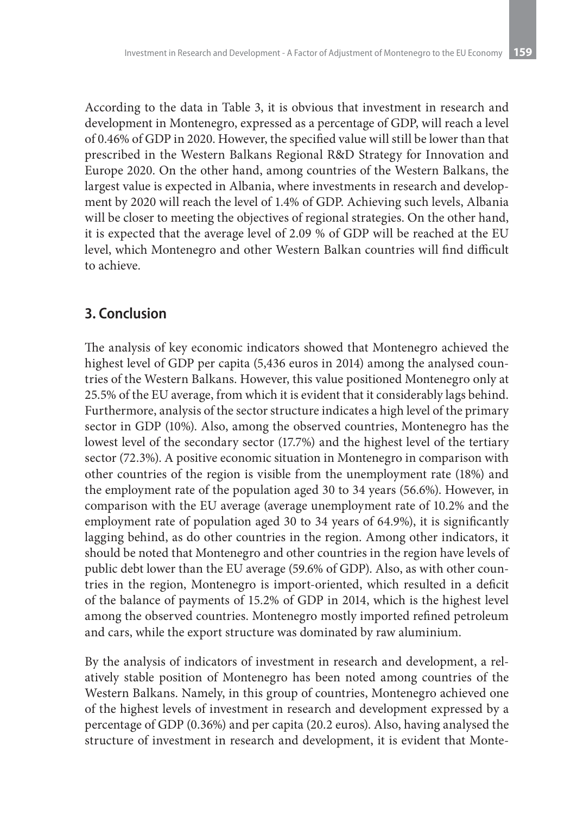According to the data in Table 3, it is obvious that investment in research and development in Montenegro, expressed as a percentage of GDP, will reach a level of 0.46% of GDP in 2020. However, the specified value will still be lower than that prescribed in the Western Balkans Regional R&D Strategy for Innovation and Europe 2020. On the other hand, among countries of the Western Balkans, the largest value is expected in Albania, where investments in research and development by 2020 will reach the level of 1.4% of GDP. Achieving such levels, Albania will be closer to meeting the objectives of regional strategies. On the other hand, it is expected that the average level of 2.09 % of GDP will be reached at the EU level, which Montenegro and other Western Balkan countries will find difficult to achieve.

#### **3. Conclusion**

The analysis of key economic indicators showed that Montenegro achieved the highest level of GDP per capita (5,436 euros in 2014) among the analysed countries of the Western Balkans. However, this value positioned Montenegro only at 25.5% of the EU average, from which it is evident that it considerably lags behind. Furthermore, analysis of the sector structure indicates a high level of the primary sector in GDP (10%). Also, among the observed countries, Montenegro has the lowest level of the secondary sector (17.7%) and the highest level of the tertiary sector (72.3%). A positive economic situation in Montenegro in comparison with other countries of the region is visible from the unemployment rate (18%) and the employment rate of the population aged 30 to 34 years (56.6%). However, in comparison with the EU average (average unemployment rate of 10.2% and the employment rate of population aged 30 to 34 years of 64.9%), it is significantly lagging behind, as do other countries in the region. Among other indicators, it should be noted that Montenegro and other countries in the region have levels of public debt lower than the EU average (59.6% of GDP). Also, as with other countries in the region, Montenegro is import-oriented, which resulted in a deficit of the balance of payments of 15.2% of GDP in 2014, which is the highest level among the observed countries. Montenegro mostly imported refined petroleum and cars, while the export structure was dominated by raw aluminium.

By the analysis of indicators of investment in research and development, a relatively stable position of Montenegro has been noted among countries of the Western Balkans. Namely, in this group of countries, Montenegro achieved one of the highest levels of investment in research and development expressed by a percentage of GDP (0.36%) and per capita (20.2 euros). Also, having analysed the structure of investment in research and development, it is evident that Monte-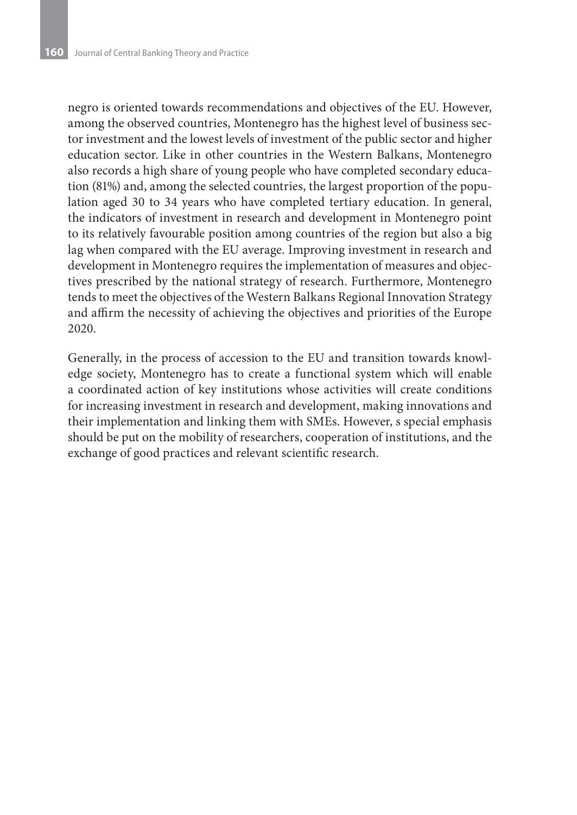negro is oriented towards recommendations and objectives of the EU. However, among the observed countries, Montenegro has the highest level of business sector investment and the lowest levels of investment of the public sector and higher education sector. Like in other countries in the Western Balkans, Montenegro also records a high share of young people who have completed secondary education (81%) and, among the selected countries, the largest proportion of the population aged 30 to 34 years who have completed tertiary education. In general, the indicators of investment in research and development in Montenegro point to its relatively favourable position among countries of the region but also a big lag when compared with the EU average. Improving investment in research and development in Montenegro requires the implementation of measures and objectives prescribed by the national strategy of research. Furthermore, Montenegro tends to meet the objectives of the Western Balkans Regional Innovation Strategy and affirm the necessity of achieving the objectives and priorities of the Europe 2020.

Generally, in the process of accession to the EU and transition towards knowledge society, Montenegro has to create a functional system which will enable a coordinated action of key institutions whose activities will create conditions for increasing investment in research and development, making innovations and their implementation and linking them with SMEs. However, s special emphasis should be put on the mobility of researchers, cooperation of institutions, and the exchange of good practices and relevant scientific research.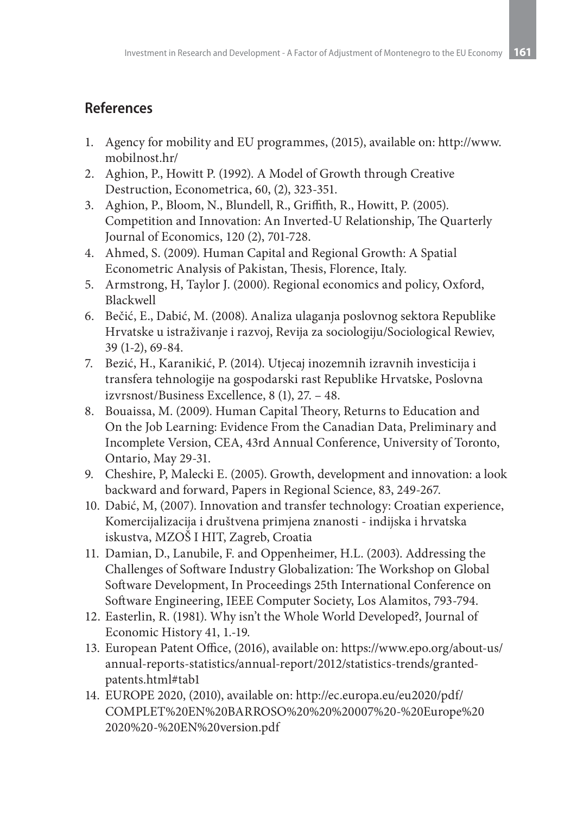## **References**

- 1. Agency for mobility and EU programmes, (2015), available on: http://www. mobilnost.hr/
- 2. Aghion, P., Howitt P. (1992). A Model of Growth through Creative Destruction, Econometrica, 60, (2), 323-351.
- 3. Aghion, P., Bloom, N., Blundell, R., Griffith, R., Howitt, P. (2005). Competition and Innovation: An Inverted-U Relationship, The Quarterly Journal of Economics, 120 (2), 701-728.
- 4. Ahmed, S. (2009). Human Capital and Regional Growth: Α Spatial Econometric Analysis of Pakistan, Thesis, Florence, Italy.
- 5. Armstrong, H, Taylor J. (2000). Regional economics and policy, Oxford, Blackwell
- 6. Bečić, E., Dabić, M. (2008). Analiza ulaganja poslovnog sektora Republike Hrvatske u istraživanje i razvoj, Revija za sociologiju/Sociological Rewiev, 39 (1-2), 69-84.
- 7. Bezić, H., Karanikić, P. (2014). Utjecaj inozemnih izravnih investicija i transfera tehnologije na gospodarski rast Republike Hrvatske, Poslovna izvrsnost/Business Excellence, 8 (1), 27. – 48.
- 8. Bouaissa, M. (2009). Human Capital Theory, Returns to Education and On the Job Learning: Evidence From the Canadian Data, Preliminary and Incomplete Version, CEA, 43rd Annual Conference, University of Toronto, Ontario, May 29-31.
- 9. Cheshire, P, Malecki E. (2005). Growth, development and innovation: a look backward and forward, Papers in Regional Science, 83, 249-267.
- 10. Dabić, M, (2007). Innovation and transfer technology: Croatian experience, Komercijalizacija i društvena primjena znanosti - indijska i hrvatska iskustva, MZOŠ I HIT, Zagreb, Croatia
- 11. Damian, D., Lanubile, F. and Oppenheimer, H.L. (2003). Addressing the Challenges of Software Industry Globalization: The Workshop on Global Software Development, In Proceedings 25th International Conference on Software Engineering, IEEE Computer Society, Los Alamitos, 793-794.
- 12. Easterlin, R. (1981). Why isn't the Whole World Developed?, Journal of Economic History 41, 1.-19.
- 13. European Patent Office, (2016), available on: https://www.epo.org/about-us/ annual-reports-statistics/annual-report/2012/statistics-trends/grantedpatents.html#tab1
- 14. EUROPE 2020, (2010), available on: http://ec.europa.eu/eu2020/pdf/ COMPLET%20EN%20BARROSO%20%20%20007%20-%20Europe%20 2020%20-%20EN%20version.pdf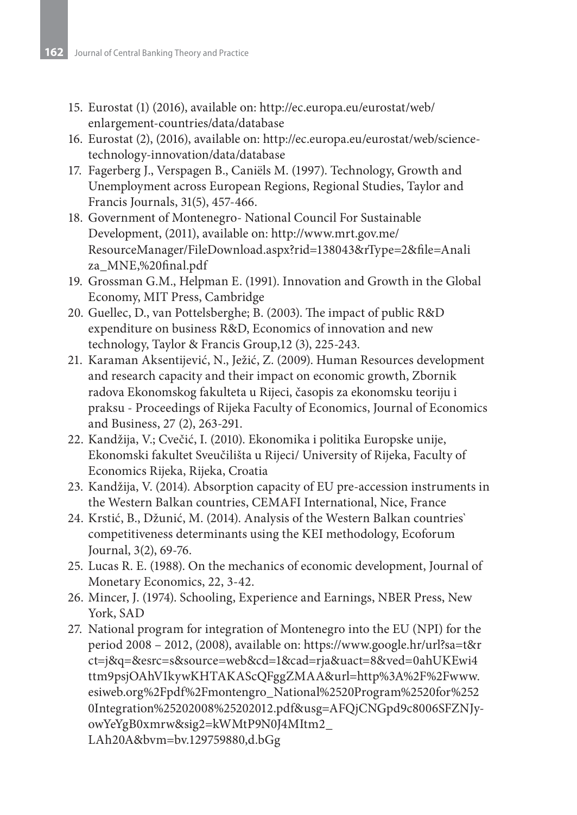- 15. Eurostat (1) (2016), available on: http://ec.europa.eu/eurostat/web/ enlargement-countries/data/database
- 16. Eurostat (2), (2016), available on: http://ec.europa.eu/eurostat/web/sciencetechnology-innovation/data/database
- 17. Fagerberg J., Verspagen B., Caniëls M. (1997). Technology, Growth and Unemployment across European Regions, Regional Studies, Taylor and Francis Journals, 31(5), 457-466.
- 18. Government of Montenegro- National Council For Sustainable Development, (2011), available on: http://www.mrt.gov.me/ ResourceManager/FileDownload.aspx?rid=138043&rType=2&file=Anali za\_MNE,%20final.pdf
- 19. Grossman G.M., Helpman E. (1991). Innovation and Growth in the Global Economy, MIT Press, Cambridge
- 20. Guellec, D., van Pottelsberghe; B. (2003). The impact of public R&D expenditure on business R&D, Economics of innovation and new technology, Taylor & Francis Group,12 (3), 225-243.
- 21. Karaman Aksentijević, N., Ježić, Z. (2009). Human Resources development and research capacity and their impact on economic growth, Zbornik radova Ekonomskog fakulteta u Rijeci, časopis za ekonomsku teoriju i praksu - Proceedings of Rijeka Faculty of Economics, Journal of Economics and Business, 27 (2), 263-291.
- 22. Kandžija, V.; Cvečić, I. (2010). Ekonomika i politika Europske unije, Ekonomski fakultet Sveučilišta u Rijeci/ University of Rijeka, Faculty of Economics Rijeka, Rijeka, Croatia
- 23. Kandžija, V. (2014). Absorption capacity of EU pre-accession instruments in the Western Balkan countries, CEMAFI International, Nice, France
- 24. Krstić, B., Džunić, M. (2014). Analysis of the Western Balkan countries` competitiveness determinants using the KEI methodology, Ecoforum Journal, 3(2), 69-76.
- 25. Lucas R. E. (1988). On the mechanics of economic development, Journal of Monetary Economics, 22, 3-42.
- 26. Mincer, J. (1974). Schooling, Experience and Earnings, NBER Press, New York, SAD
- 27. National program for integration of Montenegro into the EU (NPI) for the period 2008 – 2012, (2008), available on: https://www.google.hr/url?sa=t&r ct=j&q=&esrc=s&source=web&cd=1&cad=rja&uact=8&ved=0ahUKEwi4 ttm9psjOAhVIkywKHTAKAScQFggZMAA&url=http%3A%2F%2Fwww. esiweb.org%2Fpdf%2Fmontengro\_National%2520Program%2520for%252 0Integration%25202008%25202012.pdf&usg=AFQjCNGpd9c8006SFZNJyowYeYgB0xmrw&sig2=kWMtP9N0J4MItm2\_ LAh20A&bvm=bv.129759880,d.bGg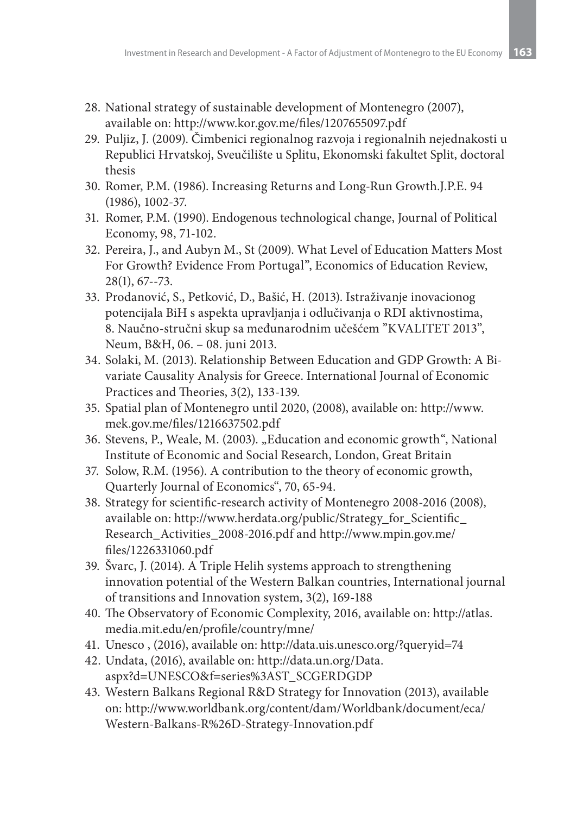- 28. National strategy of sustainable development of Montenegro (2007), available on: http://www.kor.gov.me/files/1207655097.pdf
- 29. Puljiz, J. (2009). Čimbenici regionalnog razvoja i regionalnih nejednakosti u Republici Hrvatskoj, Sveučilište u Splitu, Ekonomski fakultet Split, doctoral thesis
- 30. Romer, P.M. (1986). Increasing Returns and Long-Run Growth.J.P.E. 94 (1986), 1002-37.
- 31. Romer, P.M. (1990). Endogenous technological change, Journal of Political Economy, 98, 71-102.
- 32. Pereira, J., and Aubyn M., St (2009). What Level of Education Matters Most For Growth? Evidence From Portugal", Economics of Education Review, 28(1), 67--73.
- 33. Prodanović, S., Petković, D., Bašić, H. (2013). Istraživanje inovacionog potencijala BiH s aspekta upravljanja i odlučivanja o RDI aktivnostima, 8. Naučno-stručni skup sa međunarodnim učešćem "KVALITET 2013", Neum, B&H, 06. – 08. juni 2013.
- 34. Solaki, M. (2013). Relationship Between Education and GDP Growth: A Bivariate Causality Analysis for Greece. International Journal of Economic Practices and Theories, 3(2), 133-139.
- 35. Spatial plan of Montenegro until 2020, (2008), available on: http://www. mek.gov.me/files/1216637502.pdf
- 36. Stevens, P., Weale, M. (2003). "Education and economic growth", National Institute of Economic and Social Research, London, Great Britain
- 37. Solow, R.M. (1956). A contribution to the theory of economic growth, Quarterly Journal of Economics", 70, 65-94.
- 38. Strategy for scientific-research activity of Montenegro 2008-2016 (2008), available on: http://www.herdata.org/public/Strategy\_for\_Scientific\_ Research\_Activities\_2008-2016.pdf and http://www.mpin.gov.me/ files/1226331060.pdf
- 39. Švarc, J. (2014). A Triple Helih systems approach to strengthening innovation potential of the Western Balkan countries, International journal of transitions and Innovation system, 3(2), 169-188
- 40. The Observatory of Economic Complexity, 2016, available on: http://atlas. media.mit.edu/en/profile/country/mne/
- 41. Unesco , (2016), available on: http://data.uis.unesco.org/?queryid=74
- 42. Undata, (2016), available on: http://data.un.org/Data. aspx?d=UNESCO&f=series%3AST\_SCGERDGDP
- 43. Western Balkans Regional R&D Strategy for Innovation (2013), available on: http://www.worldbank.org/content/dam/Worldbank/document/eca/ Western-Balkans-R%26D-Strategy-Innovation.pdf